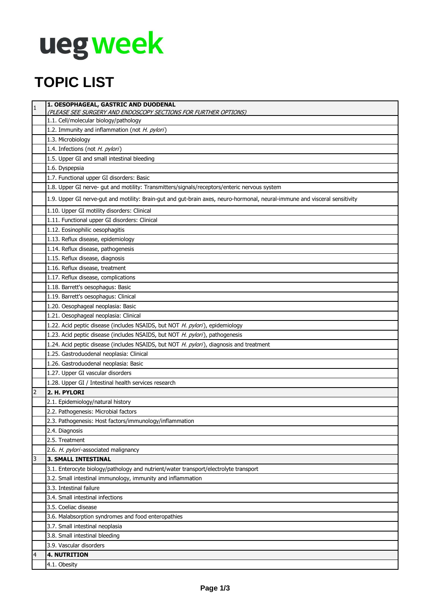# **uegweek**

### **TOPIC LIST**

| $\mathbf{1}$   | 1. OESOPHAGEAL, GASTRIC AND DUODENAL<br>(PLEASE SEE SURGERY AND ENDOSCOPY SECTIONS FOR FURTHER OPTIONS)                    |
|----------------|----------------------------------------------------------------------------------------------------------------------------|
|                | 1.1. Cell/molecular biology/pathology                                                                                      |
|                | 1.2. Immunity and inflammation (not H. pylori)                                                                             |
|                | 1.3. Microbiology                                                                                                          |
|                | 1.4. Infections (not H. pylori)                                                                                            |
|                | 1.5. Upper GI and small intestinal bleeding                                                                                |
|                | 1.6. Dyspepsia                                                                                                             |
|                | 1.7. Functional upper GI disorders: Basic                                                                                  |
|                | 1.8. Upper GI nerve- gut and motility: Transmitters/signals/receptors/enteric nervous system                               |
|                | 1.9. Upper GI nerve-gut and motility: Brain-gut and gut-brain axes, neuro-hormonal, neural-immune and visceral sensitivity |
|                | 1.10. Upper GI motility disorders: Clinical                                                                                |
|                | 1.11. Functional upper GI disorders: Clinical                                                                              |
|                | 1.12. Eosinophilic oesophagitis                                                                                            |
|                | 1.13. Reflux disease, epidemiology                                                                                         |
|                | 1.14. Reflux disease, pathogenesis                                                                                         |
|                | 1.15. Reflux disease, diagnosis                                                                                            |
|                | 1.16. Reflux disease, treatment                                                                                            |
|                | 1.17. Reflux disease, complications                                                                                        |
|                | 1.18. Barrett's oesophagus: Basic                                                                                          |
|                | 1.19. Barrett's oesophagus: Clinical                                                                                       |
|                | 1.20. Oesophageal neoplasia: Basic                                                                                         |
|                | 1.21. Oesophageal neoplasia: Clinical                                                                                      |
|                | 1.22. Acid peptic disease (includes NSAIDS, but NOT H. pylori), epidemiology                                               |
|                | 1.23. Acid peptic disease (includes NSAIDS, but NOT H. pylori), pathogenesis                                               |
|                | 1.24. Acid peptic disease (includes NSAIDS, but NOT H. pylori), diagnosis and treatment                                    |
|                | 1.25. Gastroduodenal neoplasia: Clinical                                                                                   |
|                | 1.26. Gastroduodenal neoplasia: Basic                                                                                      |
|                | 1.27. Upper GI vascular disorders                                                                                          |
|                | 1.28. Upper GI / Intestinal health services research                                                                       |
| 2              | 2. H. PYLORI                                                                                                               |
|                | 2.1. Epidemiology/natural history                                                                                          |
|                | 2.2. Pathogenesis: Microbial factors                                                                                       |
|                | 2.3. Pathogenesis: Host factors/immunology/inflammation                                                                    |
|                | 2.4. Diagnosis                                                                                                             |
|                | 2.5. Treatment                                                                                                             |
|                | 2.6. H. pylori-associated malignancy                                                                                       |
| 3              | <b>3. SMALL INTESTINAL</b>                                                                                                 |
|                | 3.1. Enterocyte biology/pathology and nutrient/water transport/electrolyte transport                                       |
|                | 3.2. Small intestinal immunology, immunity and inflammation                                                                |
|                | 3.3. Intestinal failure                                                                                                    |
|                | 3.4. Small intestinal infections                                                                                           |
|                | 3.5. Coeliac disease                                                                                                       |
|                | 3.6. Malabsorption syndromes and food enteropathies                                                                        |
|                | 3.7. Small intestinal neoplasia                                                                                            |
|                | 3.8. Small intestinal bleeding                                                                                             |
|                | 3.9. Vascular disorders                                                                                                    |
| $\overline{a}$ | <b>4. NUTRITION</b>                                                                                                        |
|                | 4.1. Obesity                                                                                                               |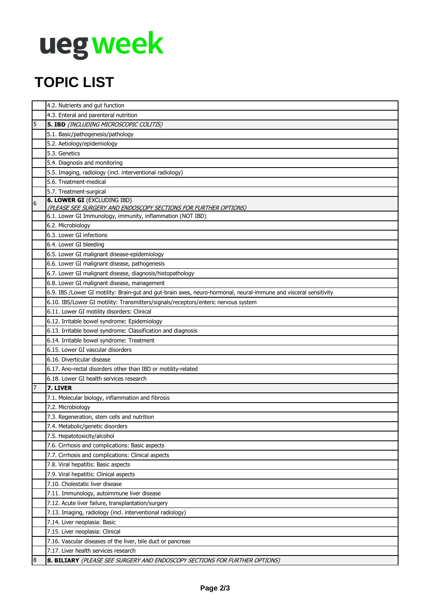# **uegweek**

### **TOPIC LIST**

|                  | 4.2. Nutrients and gut function                                                                                   |
|------------------|-------------------------------------------------------------------------------------------------------------------|
|                  | 4.3. Enteral and parenteral nutrition                                                                             |
| 5                | 5. IBD (INCLUDING MICROSCOPIC COLITIS)                                                                            |
|                  | 5.1. Basic/pathogenesis/pathology                                                                                 |
|                  | 5.2. Aetiology/epidemiology                                                                                       |
|                  | 5.3. Genetics                                                                                                     |
|                  | 5.4. Diagnosis and monitoring                                                                                     |
|                  | 5.5. Imaging, radiology (incl. interventional radiology)                                                          |
|                  | 5.6. Treatment-medical                                                                                            |
|                  | 5.7. Treatment-surgical                                                                                           |
| $6\overline{6}$  | <b>6. LOWER GI (EXCLUDING IBD)</b><br>(PLEASE SEE SURGERY AND ENDOSCOPY SECTIONS FOR FURTHER OPTIONS)             |
|                  | 6.1. Lower GI Immunology, immunity, inflammation (NOT IBD)                                                        |
|                  | 6.2. Microbiology                                                                                                 |
|                  | 6.3. Lower GI infections                                                                                          |
|                  | 6.4. Lower GI bleeding                                                                                            |
|                  | 6.5. Lower GI malignant disease-epidemiology                                                                      |
|                  | 6.6. Lower GI malignant disease, pathogenesis                                                                     |
|                  | 6.7. Lower GI malignant disease, diagnosis/histopathology                                                         |
|                  | 6.8. Lower GI malignant disease, management                                                                       |
|                  | 6.9. IBS /Lower GI motility: Brain-gut and gut-brain axes, neuro-hormonal, neural-immune and visceral sensitivity |
|                  | 6.10. IBS/Lower GI motility: Transmitters/signals/receptors/enteric nervous system                                |
|                  | 6.11. Lower GI motility disorders: Clinical                                                                       |
|                  | 6.12. Irritable bowel syndrome: Epidemiology                                                                      |
|                  | 6.13. Irritable bowel syndrome: Classification and diagnosis                                                      |
|                  | 6.14. Irritable bowel syndrome: Treatment                                                                         |
|                  | 6.15. Lower GI vascular disorders                                                                                 |
|                  | 6.16. Diverticular disease                                                                                        |
|                  | 6.17. Ano-rectal disorders other than IBD or motility-related                                                     |
|                  | 6.18. Lower GI health services research                                                                           |
| $\overline{7}$   | 7. LIVER                                                                                                          |
|                  | 7.1. Molecular biology, inflammation and fibrosis                                                                 |
|                  | 7.2. Microbiology                                                                                                 |
|                  | 7.3. Regeneration, stem cells and nutrition                                                                       |
|                  | 7.4. Metabolic/genetic disorders                                                                                  |
|                  | 7.5. Hepatotoxicity/alcohol                                                                                       |
|                  | 7.6. Cirrhosis and complications: Basic aspects                                                                   |
|                  | 7.7. Cirrhosis and complications: Clinical aspects                                                                |
|                  | 7.8. Viral hepatitis: Basic aspects                                                                               |
|                  | 7.9. Viral hepatitis: Clinical aspects                                                                            |
|                  | 7.10. Cholestatic liver disease                                                                                   |
|                  | 7.11. Immunology, autoimmune liver disease                                                                        |
|                  | 7.12. Acute liver failure, transplantation/surgery                                                                |
|                  | 7.13. Imaging, radiology (incl. interventional radiology)                                                         |
|                  | 7.14. Liver neoplasia: Basic                                                                                      |
|                  | 7.15. Liver neoplasia: Clinical                                                                                   |
|                  | 7.16. Vascular diseases of the liver, bile duct or pancreas                                                       |
|                  | 7.17. Liver health services research                                                                              |
| $\boldsymbol{8}$ | <b>8. BILIARY</b> (PLEASE SEE SURGERY AND ENDOSCOPY SECTIONS FOR FURTHER OPTIONS)                                 |